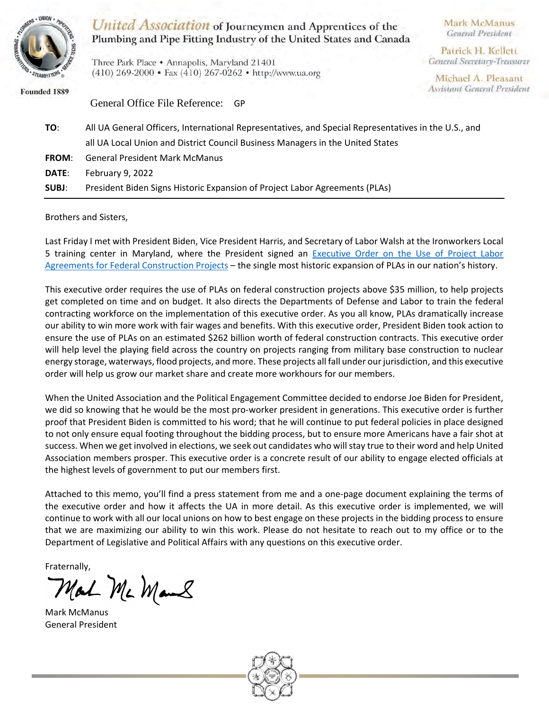

United Association of Journeymen and Apprentices of the Plumbing and Pipe Fitting Industry of the United States and Canada

Three Park Place • Annapolis, Maryland 21401 (410) 269-2000 • Fax (410) 267-0262 • http://www.ua.org Mark McManus General President

Patrick H. Kellett **General Secretary-Treasurer** 

Michael A. Pleasant **Assistant General President** 

Founded 1889

General Office File Reference: GP **TO**: All UA General Officers, International Representatives, and Special Representatives in the U.S., and all UA Local Union and District Council Business Managers in the United States **FROM**: General President Mark McManus **DATE**: February 9, 2022 **SUBJ**: President Biden Signs Historic Expansion of Project Labor Agreements (PLAs)

Brothers and Sisters,

Last Friday I met with President Biden, Vice President Harris, and Secretary of Labor Walsh at the Ironworkers Local 5 training center in Maryland, where the President signed an [Executive Order on the Use of Project Labor](https://www.whitehouse.gov/briefing-room/presidential-actions/2022/02/04/executive-order-on-use-of-project-labor-agreements-for-federal-construction-projects/)  Agreements for [Federal Construction Projects](https://www.whitehouse.gov/briefing-room/presidential-actions/2022/02/04/executive-order-on-use-of-project-labor-agreements-for-federal-construction-projects/) – the single most historic expansion of PLAs in our nation's history.

This executive order requires the use of PLAs on federal construction projects above \$35 million, to help projects get completed on time and on budget. It also directs the Departments of Defense and Labor to train the federal contracting workforce on the implementation of this executive order. As you all know, PLAs dramatically increase our ability to win more work with fair wages and benefits. With this executive order, President Biden took action to ensure the use of PLAs on an estimated \$262 billion worth of federal construction contracts. This executive order will help level the playing field across the country on projects ranging from military base construction to nuclear energy storage, waterways, flood projects, and more. These projects all fall under our jurisdiction, and this executive order will help us grow our market share and create more workhours for our members.

When the United Association and the Political Engagement Committee decided to endorse Joe Biden for President, we did so knowing that he would be the most pro-worker president in generations. This executive order is further proof that President Biden is committed to his word; that he will continue to put federal policies in place designed to not only ensure equal footing throughout the bidding process, but to ensure more Americans have a fair shot at success. When we get involved in elections, we seek out candidates who will stay true to their word and help United Association members prosper. This executive order is a concrete result of our ability to engage elected officials at the highest levels of government to put our members first.

Attached to this memo, you'll find a press statement from me and a one-page document explaining the terms of the executive order and how it affects the UA in more detail. As this executive order is implemented, we will continue to work with all our local unions on how to best engage on these projects in the bidding process to ensure that we are maximizing our ability to win this work. Please do not hesitate to reach out to my office or to the Department of Legislative and Political Affairs with any questions on this executive order.

Fraternally,

Mal Mc Mans

Mark McManus General President